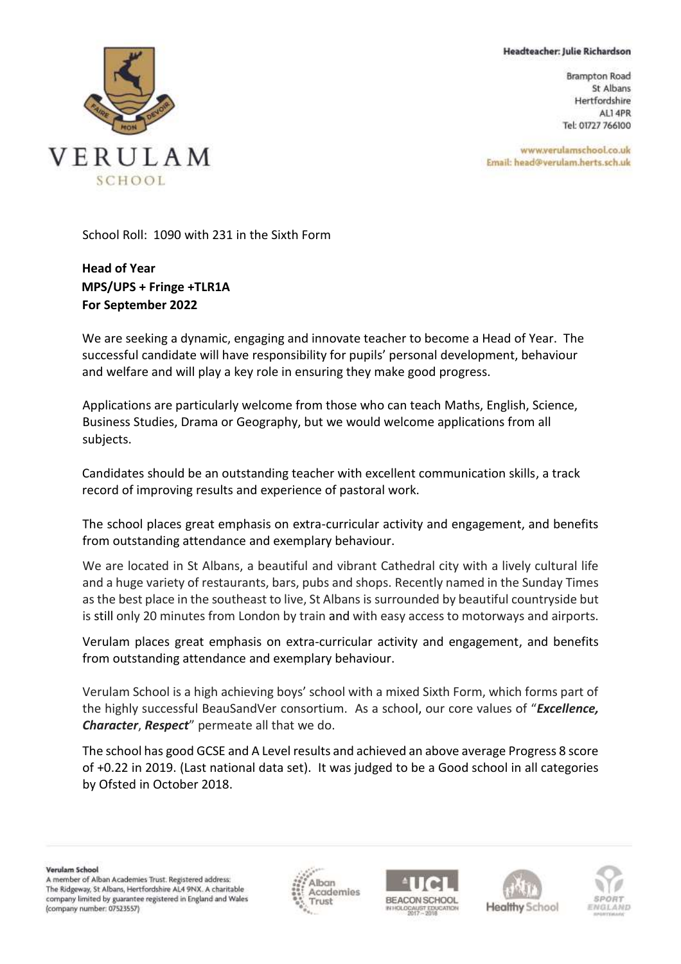## Headteacher: Julie Richardson

**Brampton Road** St Albans Hertfordshire ALI 4PR Tel: 01727 766100

www.verulamschool.co.uk Email: head@verulam.herts.sch.uk



School Roll: 1090 with 231 in the Sixth Form

**Head of Year MPS/UPS + Fringe +TLR1A For September 2022**

We are seeking a dynamic, engaging and innovate teacher to become a Head of Year. The successful candidate will have responsibility for pupils' personal development, behaviour and welfare and will play a key role in ensuring they make good progress.

Applications are particularly welcome from those who can teach Maths, English, Science, Business Studies, Drama or Geography, but we would welcome applications from all subjects.

Candidates should be an outstanding teacher with excellent communication skills, a track record of improving results and experience of pastoral work.

The school places great emphasis on extra-curricular activity and engagement, and benefits from outstanding attendance and exemplary behaviour.

We are located in St Albans, a beautiful and vibrant Cathedral city with a lively cultural life and a huge variety of restaurants, bars, pubs and shops. Recently named in the Sunday Times as the best place in the southeast to live, St Albans is surrounded by beautiful countryside but is still only 20 minutes from London by train and with easy access to motorways and airports.

Verulam places great emphasis on extra-curricular activity and engagement, and benefits from outstanding attendance and exemplary behaviour.

Verulam School is a high achieving boys' school with a mixed Sixth Form, which forms part of the highly successful BeauSandVer consortium. As a school, our core values of "*Excellence, Character*, *Respect*" permeate all that we do.

The school has good GCSE and A Level results and achieved an above average Progress 8 score of +0.22 in 2019. (Last national data set). It was judged to be a Good school in all categories by Ofsted in October 2018.